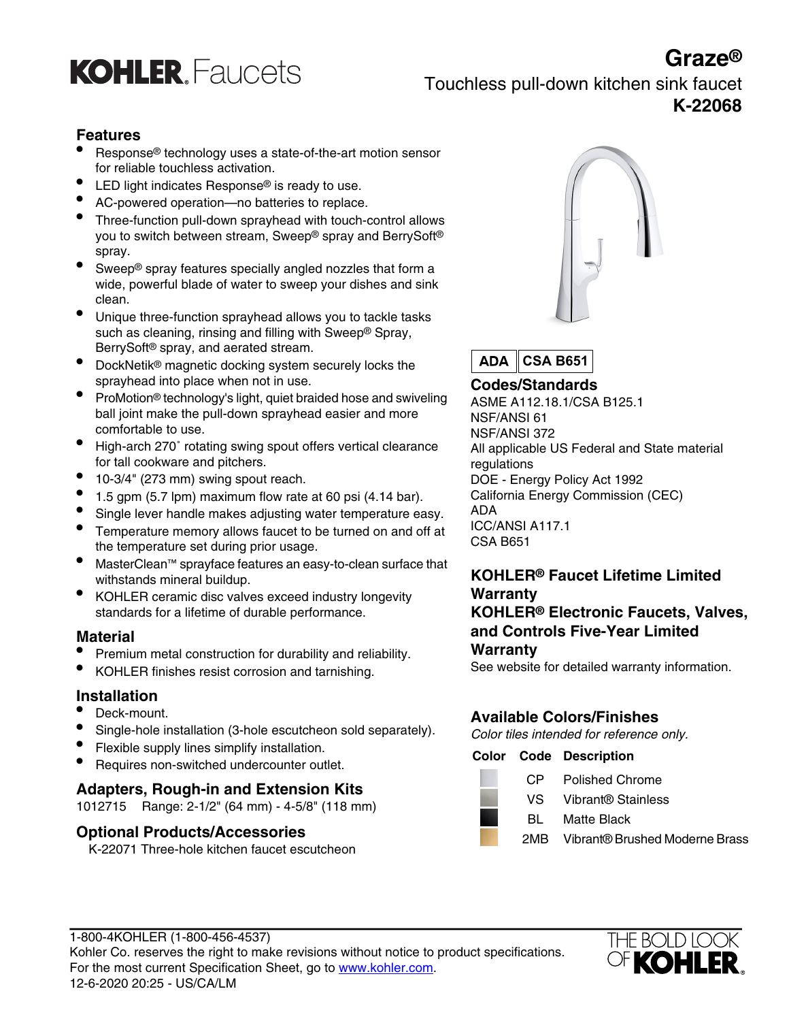

### **Graze®** Touchless pull-down kitchen sink faucet **K-22068**

### **Features**

- Response® technology uses a state-of-the-art motion sensor for reliable touchless activation.
- LED light indicates Response® is ready to use.
- AC-powered operation—no batteries to replace.
- Three-function pull-down sprayhead with touch-control allows you to switch between stream, Sweep® spray and BerrySoft® spray.
- Sweep® spray features specially angled nozzles that form a wide, powerful blade of water to sweep your dishes and sink clean.
- Unique three-function sprayhead allows you to tackle tasks such as cleaning, rinsing and filling with Sweep® Spray, BerrySoft® spray, and aerated stream.
- DockNetik<sup>®</sup> magnetic docking system securely locks the sprayhead into place when not in use.<br> **Codes/Standards**
- ProMotion® technology's light, quiet braided hose and swiveling ball joint make the pull-down sprayhead easier and more comfortable to use.
- High-arch 270˚ rotating swing spout offers vertical clearance for tall cookware and pitchers.
- 10-3/4" (273 mm) swing spout reach. DOE Energy Policy Act 1992
- 
- Single lever handle makes adjusting water temperature easy. ADA<br>Temperature memory allows fauget to be turned on and off at ICC/ANSI A117.1
- **ICC/ANSIFERENT A117.1 Temperature memory allows faucet to be turned on and off at**  $\frac{100}{400}$  CSA B651 the temperature set during prior usage.
- MasterClean™ sprayface features an easy-to-clean surface that
- KOHLER ceramic disc valves exceed industry longevity standards for a lifetime of durable performance. **KOHLER® Electronic Faucets, Valves,**

#### **Material**

- Premium metal construction for durability and reliability.
- See website for detailed warranty information. KOHLER finishes resist corrosion and tarnishing.

#### **Installation**

- 
- Single-hole installation (3-hole escutcheon sold separately). Color tiles intended for reference only.<br>Flexible supply lines simplify installation.
- 
- Flexible supply lines simplify installation. **Color Code Description** Requires non-switched undercounter outlet.

**Adapters, Rough-in and Extension Kits** Van de Chrome Chrome Chrome Vibrant® Stainless 1012715 Range: 2-1/2" (64 mm) - 4-5/8" (118 mm) and Chrome Vibrant® Stainless 1012715 Range: 2-1/2" (64 mm) - 4-5/8" (118 mm) and Chrom

#### **Optional Products/Accessories**

K-22071 Three-hole kitchen faucet escutcheon



**ADA CSA B651**

ASME A112.18.1/CSA B125.1 NSF/ANSI 61 NSF/ANSI 372 All applicable US Federal and State material regulations • 1.5 gpm (5.7 lpm) maximum flow rate at 60 psi (4.14 bar). California Energy Commission (CEC)

## withstands mineral buildup.<br>
KOHLER<sup>®</sup> Faucet Lifetime Limited<br>
KOHLER ceramic disc valves exceed industry longevity **Warranty and Controls Five-Year Limited**

#### **Warranty**

### **Available Colors/Finishes** • Deck-mount.

- 
- 
- Matte Black
- 2MB Vibrant® Brushed Moderne Brass